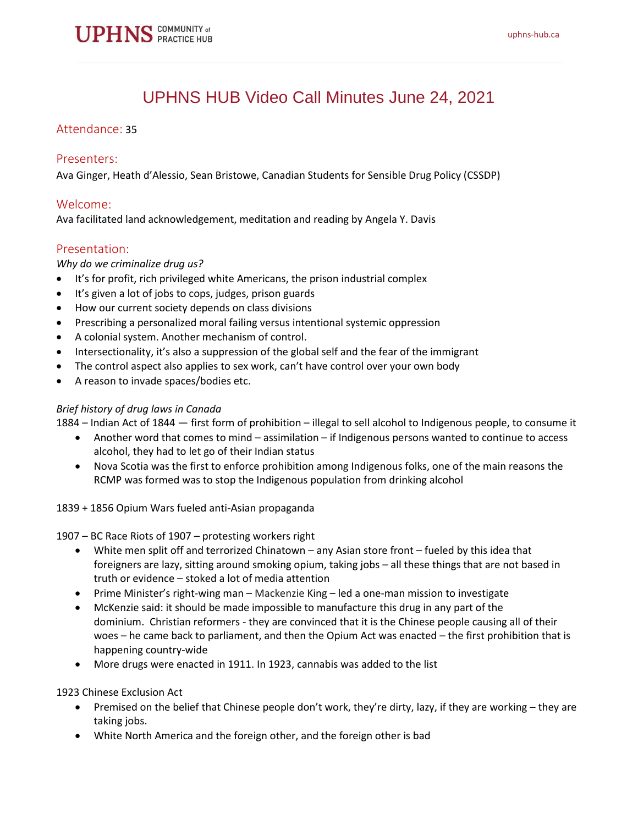# UPHNS HUB Video Call Minutes June 24, 2021

## Attendance: 35

### Presenters:

Ava Ginger, Heath d'Alessio, Sean Bristowe, Canadian Students for Sensible Drug Policy (CSSDP)

## Welcome:

Ava facilitated land acknowledgement, meditation and reading by Angela Y. Davis

## Presentation:

#### *Why do we criminalize drug us?*

- It's for profit, rich privileged white Americans, the prison industrial complex
- It's given a lot of jobs to cops, judges, prison guards
- How our current society depends on class divisions
- Prescribing a personalized moral failing versus intentional systemic oppression
- A colonial system. Another mechanism of control.
- Intersectionality, it's also a suppression of the global self and the fear of the immigrant
- The control aspect also applies to sex work, can't have control over your own body
- A reason to invade spaces/bodies etc.

#### *Brief history of drug laws in Canada*

1884 – Indian Act of 1844 — first form of prohibition – illegal to sell alcohol to Indigenous people, to consume it

- Another word that comes to mind assimilation if Indigenous persons wanted to continue to access alcohol, they had to let go of their Indian status
- Nova Scotia was the first to enforce prohibition among Indigenous folks, one of the main reasons the RCMP was formed was to stop the Indigenous population from drinking alcohol
- 1839 + 1856 Opium Wars fueled anti-Asian propaganda

1907 – BC Race Riots of 1907 – protesting workers right

- White men split off and terrorized Chinatown any Asian store front fueled by this idea that foreigners are lazy, sitting around smoking opium, taking jobs – all these things that are not based in truth or evidence – stoked a lot of media attention
- Prime Minister's right-wing man Mackenzie King led a one-man mission to investigate
- McKenzie said: it should be made impossible to manufacture this drug in any part of the dominium. Christian reformers - they are convinced that it is the Chinese people causing all of their woes – he came back to parliament, and then the Opium Act was enacted – the first prohibition that is happening country-wide
- More drugs were enacted in 1911. In 1923, cannabis was added to the list

1923 Chinese Exclusion Act

- Premised on the belief that Chinese people don't work, they're dirty, lazy, if they are working they are taking jobs.
- White North America and the foreign other, and the foreign other is bad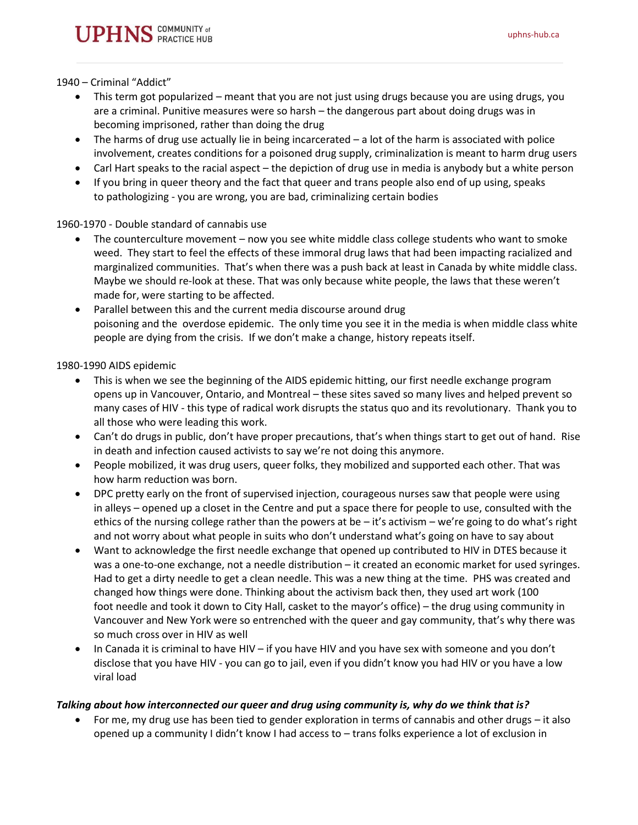1940 – Criminal "Addict"

- This term got popularized meant that you are not just using drugs because you are using drugs, you are a criminal. Punitive measures were so harsh – the dangerous part about doing drugs was in becoming imprisoned, rather than doing the drug
- The harms of drug use actually lie in being incarcerated a lot of the harm is associated with police involvement, creates conditions for a poisoned drug supply, criminalization is meant to harm drug users
- Carl Hart speaks to the racial aspect the depiction of drug use in media is anybody but a white person
- If you bring in queer theory and the fact that queer and trans people also end of up using, speaks to pathologizing - you are wrong, you are bad, criminalizing certain bodies

1960-1970 - Double standard of cannabis use

- The counterculture movement now you see white middle class college students who want to smoke weed. They start to feel the effects of these immoral drug laws that had been impacting racialized and marginalized communities. That's when there was a push back at least in Canada by white middle class. Maybe we should re-look at these. That was only because white people, the laws that these weren't made for, were starting to be affected.
- Parallel between this and the current media discourse around drug poisoning and the overdose epidemic. The only time you see it in the media is when middle class white people are dying from the crisis. If we don't make a change, history repeats itself.

1980-1990 AIDS epidemic

- This is when we see the beginning of the AIDS epidemic hitting, our first needle exchange program opens up in Vancouver, Ontario, and Montreal – these sites saved so many lives and helped prevent so many cases of HIV - this type of radical work disrupts the status quo and its revolutionary. Thank you to all those who were leading this work.
- Can't do drugs in public, don't have proper precautions, that's when things start to get out of hand. Rise in death and infection caused activists to say we're not doing this anymore.
- People mobilized, it was drug users, queer folks, they mobilized and supported each other. That was how harm reduction was born.
- DPC pretty early on the front of supervised injection, courageous nurses saw that people were using in alleys – opened up a closet in the Centre and put a space there for people to use, consulted with the ethics of the nursing college rather than the powers at be  $-i$  to activism – we're going to do what's right and not worry about what people in suits who don't understand what's going on have to say about
- Want to acknowledge the first needle exchange that opened up contributed to HIV in DTES because it was a one-to-one exchange, not a needle distribution – it created an economic market for used syringes. Had to get a dirty needle to get a clean needle. This was a new thing at the time. PHS was created and changed how things were done. Thinking about the activism back then, they used art work (100 foot needle and took it down to City Hall, casket to the mayor's office) – the drug using community in Vancouver and New York were so entrenched with the queer and gay community, that's why there was so much cross over in HIV as well
- In Canada it is criminal to have HIV if you have HIV and you have sex with someone and you don't disclose that you have HIV - you can go to jail, even if you didn't know you had HIV or you have a low viral load

#### *Talking about how interconnected our queer and drug using community is, why do we think that is?*

• For me, my drug use has been tied to gender exploration in terms of cannabis and other drugs – it also opened up a community I didn't know I had access to – trans folks experience a lot of exclusion in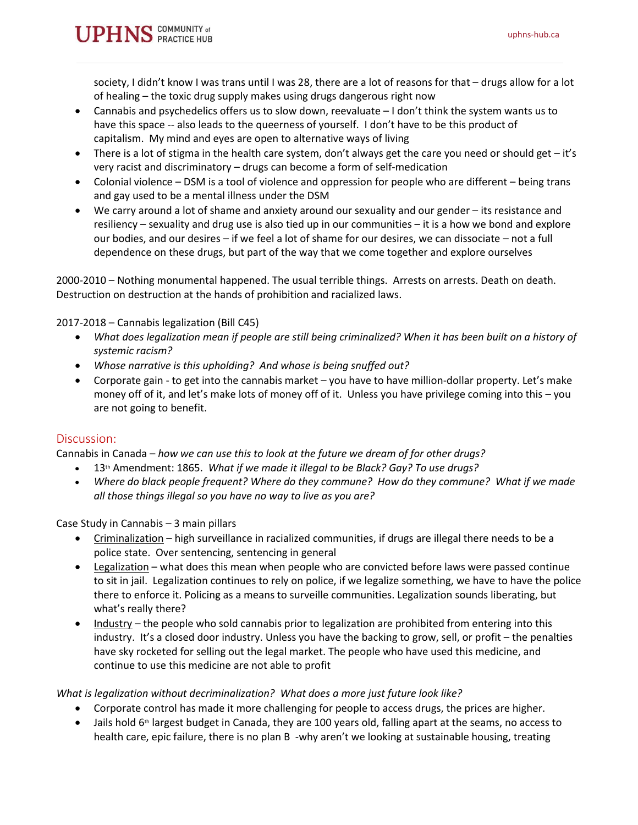society, I didn't know I was trans until I was 28, there are a lot of reasons for that – drugs allow for a lot of healing – the toxic drug supply makes using drugs dangerous right now

- Cannabis and psychedelics offers us to slow down, reevaluate I don't think the system wants us to have this space -- also leads to the queerness of yourself. I don't have to be this product of capitalism. My mind and eyes are open to alternative ways of living
- There is a lot of stigma in the health care system, don't always get the care you need or should get it's very racist and discriminatory – drugs can become a form of self-medication
- Colonial violence DSM is a tool of violence and oppression for people who are different being trans and gay used to be a mental illness under the DSM
- We carry around a lot of shame and anxiety around our sexuality and our gender its resistance and resiliency – sexuality and drug use is also tied up in our communities – it is a how we bond and explore our bodies, and our desires – if we feel a lot of shame for our desires, we can dissociate – not a full dependence on these drugs, but part of the way that we come together and explore ourselves

2000-2010 – Nothing monumental happened. The usual terrible things. Arrests on arrests. Death on death. Destruction on destruction at the hands of prohibition and racialized laws.

2017-2018 – Cannabis legalization (Bill C45)

- *What does legalization mean if people are still being criminalized? When it has been built on a history of systemic racism?*
- *Whose narrative is this upholding? And whose is being snuffed out?*
- Corporate gain to get into the cannabis market you have to have million-dollar property. Let's make money off of it, and let's make lots of money off of it. Unless you have privilege coming into this – you are not going to benefit.

## Discussion:

Cannabis in Canada – *how we can use this to look at the future we dream of for other drugs?*

- 13th Amendment: 1865. *What if we made it illegal to be Black? Gay? To use drugs?*
- *Where do black people frequent? Where do they commune? How do they commune? What if we made all those things illegal so you have no way to live as you are?*

Case Study in Cannabis – 3 main pillars

- Criminalization high surveillance in racialized communities, if drugs are illegal there needs to be a police state. Over sentencing, sentencing in general
- Legalization what does this mean when people who are convicted before laws were passed continue to sit in jail. Legalization continues to rely on police, if we legalize something, we have to have the police there to enforce it. Policing as a means to surveille communities. Legalization sounds liberating, but what's really there?
- Industry the people who sold cannabis prior to legalization are prohibited from entering into this industry. It's a closed door industry. Unless you have the backing to grow, sell, or profit – the penalties have sky rocketed for selling out the legal market. The people who have used this medicine, and continue to use this medicine are not able to profit

*What is legalization without decriminalization? What does a more just future look like?*

- Corporate control has made it more challenging for people to access drugs, the prices are higher.
- $\bullet$  Jails hold 6<sup>th</sup> largest budget in Canada, they are 100 years old, falling apart at the seams, no access to health care, epic failure, there is no plan B -why aren't we looking at sustainable housing, treating